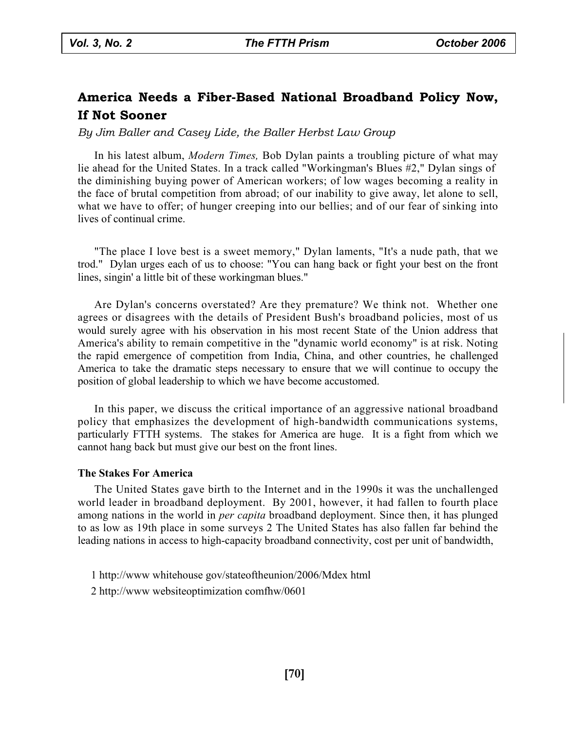# **America Needs a Fiber-Based National Broadband Policy Now, If Not Sooner**

# *By Jim Baller and Casey Lide, the Baller Herbst Law Group*

In his latest album, *Modern Times,* Bob Dylan paints a troubling picture of what may lie ahead for the United States. In a track called "Workingman's Blues #2," Dylan sings of the diminishing buying power of American workers; of low wages becoming a reality in the face of brutal competition from abroad; of our inability to give away, let alone to sell, what we have to offer; of hunger creeping into our bellies; and of our fear of sinking into lives of continual crime.

"The place I love best is a sweet memory," Dylan laments, "It's a nude path, that we trod." Dylan urges each of us to choose: "You can hang back or fight your best on the front lines, singin' a little bit of these workingman blues."

Are Dylan's concerns overstated? Are they premature? We think not. Whether one agrees or disagrees with the details of President Bush's broadband policies, most of us would surely agree with his observation in his most recent State of the Union address that America's ability to remain competitive in the "dynamic world economy" is at risk. Noting the rapid emergence of competition from India, China, and other countries, he challenged America to take the dramatic steps necessary to ensure that we will continue to occupy the position of global leadership to which we have become accustomed.

In this paper, we discuss the critical importance of an aggressive national broadband policy that emphasizes the development of high-bandwidth communications systems, particularly FTTH systems. The stakes for America are huge. It is a fight from which we cannot hang back but must give our best on the front lines.

### **The Stakes For America**

The United States gave birth to the Internet and in the 1990s it was the unchallenged world leader in broadband deployment. By 2001, however, it had fallen to fourth place among nations in the world in *per capita* broadband deployment. Since then, it has plunged to as low as 19th place in some surveys 2 The United States has also fallen far behind the leading nations in access to high-capacity broadband connectivity, cost per unit of bandwidth,

- 1 http://www whitehouse gov/stateoftheunion/2006/Mdex html
- 2 http://www websiteoptimization comfhw/0601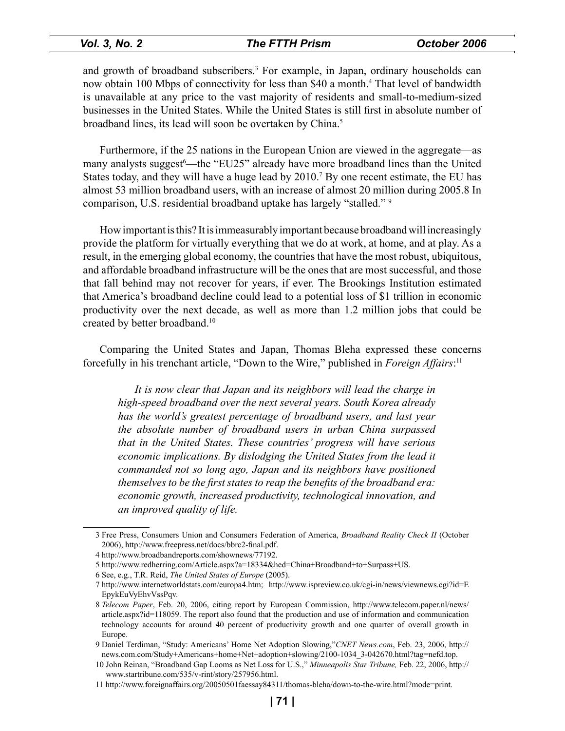# *Vol. 3, No. 2 The FTTH Prism October 2006*

and growth of broadband subscribers.<sup>3</sup> For example, in Japan, ordinary households can now obtain 100 Mbps of connectivity for less than \$40 a month.<sup>4</sup> That level of bandwidth is unavailable at any price to the vast majority of residents and small-to-medium-sized businesses in the United States. While the United States is still first in absolute number of broadband lines, its lead will soon be overtaken by China.<sup>5</sup>

Furthermore, if the 25 nations in the European Union are viewed in the aggregate—as many analysts suggest<sup>6</sup>—the "EU25" already have more broadband lines than the United States today, and they will have a huge lead by 2010.<sup>7</sup> By one recent estimate, the EU has almost 53 million broadband users, with an increase of almost 20 million during 2005.8 In comparison, U.S. residential broadband uptake has largely "stalled." 9

How important is this? It is immeasurably important because broadband will increasingly provide the platform for virtually everything that we do at work, at home, and at play. As a result, in the emerging global economy, the countries that have the most robust, ubiquitous, and affordable broadband infrastructure will be the ones that are most successful, and those that fall behind may not recover for years, if ever. The Brookings Institution estimated that America's broadband decline could lead to a potential loss of \$1 trillion in economic productivity over the next decade, as well as more than 1.2 million jobs that could be created by better broadband.10

Comparing the United States and Japan, Thomas Bleha expressed these concerns forcefully in his trenchant article, "Down to the Wire," published in *Foreign Affairs*: 11

*It is now clear that Japan and its neighbors will lead the charge in high-speed broadband over the next several years. South Korea already has the world's greatest percentage of broadband users, and last year the absolute number of broadband users in urban China surpassed that in the United States. These countries' progress will have serious economic implications. By dislodging the United States from the lead it commanded not so long ago, Japan and its neighbors have positioned themselves to be the first states to reap the benefits of the broadband era: economic growth, increased productivity, technological innovation, and an improved quality of life.* 

<sup>3</sup> [Free Press, Consumers Union and Consumers Federation of America,](http://www.freepress.net/docs/bbrc2-final.pdf) *Broadband Reality Check II* (October 2006), http://www.freepress.net/docs/bbrc2-final.pdf.

<sup>4</sup> [http://www.broadbandreports.com/shownews/7719](http://www.broadbandreports.com/shownews/77192)2.

<sup>5</sup> [http://www.redherring.com/Article.aspx?a=18334&hed=China+Broadband+to+Surpass+U](http://www.redherring.com/Article.aspx?a=18334&hed=China+Broadband+to+Surpass+US)S.

<sup>6</sup> See, e.g., T.R. Reid, *The United States of Europe* (2005).

<sup>7</sup> [http://www.internetworldstats.com/europa4.ht](http://www.internetworldstats.com/europa4.htm)m; [http://www.ispreview.co.uk/cgi-in/news/viewnews.cgi?id=E](http://www.ispreview.co.uk/cgi-in/news/viewnews.cgi?id=E EpykEuVyEhvVssPqv) EpykEuVyEhvVssPqv.

<sup>8</sup> *Telecom Paper*, Feb. 20, 2006, citing report by European Commission, http://www.telecom.paper.nl/news/ article.aspx?id=118059. The report also found that the production and use of information and communication [technology accounts for around 40 percent of productivity growth and one quarter of overall growth in](http://www.telecom.paper.nl/news/ article.aspx?id=118059)  Europe.

Daniel Terdiman, "Study: Americans' Home Net Adoption Slowing,"*CNET News.com*, Feb. 23, 2006, http:// [news.com.com/Study+Americans+home+Net+adoption+slowing/2100-1034\\_3-042670.html?tag=nefd.to](http:// news.com.com/Study+Americans+home+Net+adoption+slowing/2100-1034_3-042670.html?tag=nefd.top)p.

[<sup>10</sup> John Reinan, "Broadband Gap Looms as Net Loss for U.S.,"](http:// www.startribune.com/535/v-rint/story/257956.html) *Minneapolis Star Tribune,* Feb. 22, 2006, http:// www.startribune.com/535/v-rint/story/257956.html.

<sup>11</sup> [http://www.foreignaffairs.org/20050501faessay84311/thomas-bleha/down-to-the-wire.html?mode=prin](http://www.foreignaffairs.org/20050501faessay84311/thomas-bleha/down-to-the-wire.html?mode=print)t.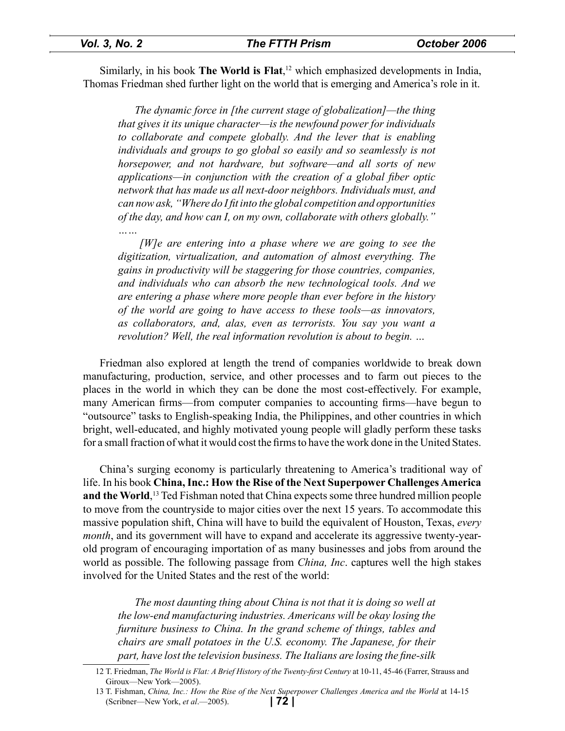Similarly, in his book **The World is Flat**, 12 which emphasized developments in India, Thomas Friedman shed further light on the world that is emerging and America's role in it.

*The dynamic force in [the current stage of globalization]—the thing that gives it its unique character—is the newfound power for individuals to collaborate and compete globally. And the lever that is enabling individuals and groups to go global so easily and so seamlessly is not horsepower, and not hardware, but software—and all sorts of new applications—in conjunction with the creation of a global fiber optic network that has made us all next-door neighbors. Individuals must, and can now ask, "Where do I fit into the global competition and opportunities of the day, and how can I, on my own, collaborate with others globally." ……*

 *[W]e are entering into a phase where we are going to see the digitization, virtualization, and automation of almost everything. The gains in productivity will be staggering for those countries, companies, and individuals who can absorb the new technological tools. And we are entering a phase where more people than ever before in the history of the world are going to have access to these tools—as innovators, as collaborators, and, alas, even as terrorists. You say you want a revolution? Well, the real information revolution is about to begin. …* 

Friedman also explored at length the trend of companies worldwide to break down manufacturing, production, service, and other processes and to farm out pieces to the places in the world in which they can be done the most cost-effectively. For example, many American firms—from computer companies to accounting firms—have begun to "outsource" tasks to English-speaking India, the Philippines, and other countries in which bright, well-educated, and highly motivated young people will gladly perform these tasks for a small fraction of what it would cost the firms to have the work done in the United States.

China's surging economy is particularly threatening to America's traditional way of life. In his book **China, Inc.: How the Rise of the Next Superpower Challenges America and the World**, 13 Ted Fishman noted that China expects some three hundred million people to move from the countryside to major cities over the next 15 years. To accommodate this massive population shift, China will have to build the equivalent of Houston, Texas, *every month*, and its government will have to expand and accelerate its aggressive twenty-yearold program of encouraging importation of as many businesses and jobs from around the world as possible. The following passage from *China, Inc*. captures well the high stakes involved for the United States and the rest of the world:

*The most daunting thing about China is not that it is doing so well at the low-end manufacturing industries. Americans will be okay losing the furniture business to China. In the grand scheme of things, tables and chairs are small potatoes in the U.S. economy. The Japanese, for their part, have lost the television business. The Italians are losing the fine-silk* 

<sup>12</sup> T. Friedman, *The World is Flat: A Brief History of the Twenty-first Century* at 10-11, 45-46 (Farrer, Strauss and Giroux—New York—2005).

**<sup>| 72 |</sup>** 13 T. Fishman, *China, Inc.: How the Rise of the Next Superpower Challenges America and the World* at 14-15 (Scribner—New York, *et al*.—2005).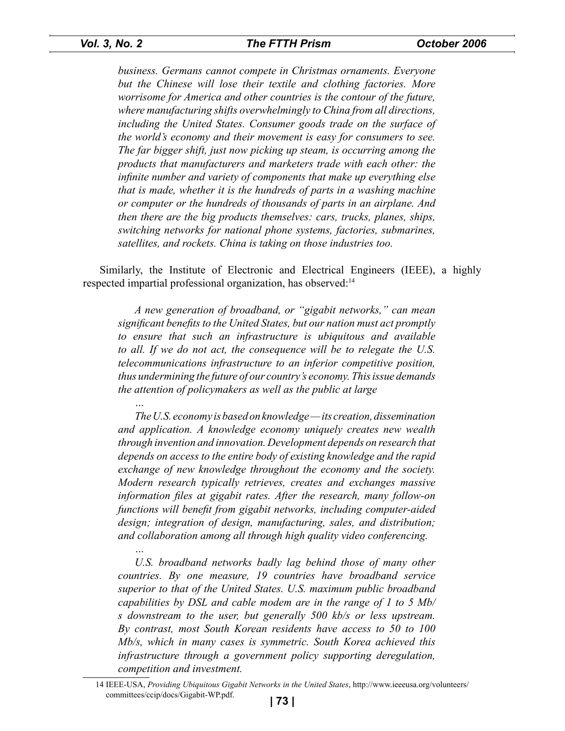*…* 

*…*

*business. Germans cannot compete in Christmas ornaments. Everyone but the Chinese will lose their textile and clothing factories. More worrisome for America and other countries is the contour of the future, where manufacturing shifts overwhelmingly to China from all directions, including the United States. Consumer goods trade on the surface of the world's economy and their movement is easy for consumers to see. The far bigger shift, just now picking up steam, is occurring among the products that manufacturers and marketers trade with each other: the infinite number and variety of components that make up everything else that is made, whether it is the hundreds of parts in a washing machine or computer or the hundreds of thousands of parts in an airplane. And then there are the big products themselves: cars, trucks, planes, ships, switching networks for national phone systems, factories, submarines, satellites, and rockets. China is taking on those industries too.* 

Similarly, the Institute of Electronic and Electrical Engineers (IEEE), a highly respected impartial professional organization, has observed:<sup>14</sup>

*A new generation of broadband, or "gigabit networks," can mean significant benefits to the United States, but our nation must act promptly to ensure that such an infrastructure is ubiquitous and available to all. If we do not act, the consequence will be to relegate the U.S. telecommunications infrastructure to an inferior competitive position, thus undermining the future of our country's economy. This issue demands the attention of policymakers as well as the public at large*

*The U.S. economy is based on knowledge — its creation, dissemination and application. A knowledge economy uniquely creates new wealth through invention and innovation. Development depends on research that depends on access to the entire body of existing knowledge and the rapid exchange of new knowledge throughout the economy and the society. Modern research typically retrieves, creates and exchanges massive information files at gigabit rates. After the research, many follow-on functions will benefit from gigabit networks, including computer-aided design; integration of design, manufacturing, sales, and distribution; and collaboration among all through high quality video conferencing.* 

U.S. broadband networks badly lag behind those of many other *countries. By one measure, 19 countries have broadband service superior to that of the United States. U.S. maximum public broadband capabilities by DSL and cable modem are in the range of 1 to 5 Mb/ s downstream to the user, but generally 500 kb/s or less upstream. By contrast, most South Korean residents have access to 50 to 100 Mb/s, which in many cases is symmetric. South Korea achieved this infrastructure through a government policy supporting deregulation, competition and investment.* 

<sup>14</sup> IEEE-USA, *[Providing Ubiquitous Gigabit Networks in the United States](http://www.ieeeusa.org/volunteers/ committees/ccip/docs/Gigabit-WP.pdf)*, http://www.ieeeusa.org/volunteers/ committees/ccip/docs/Gigabit-WP.pdf.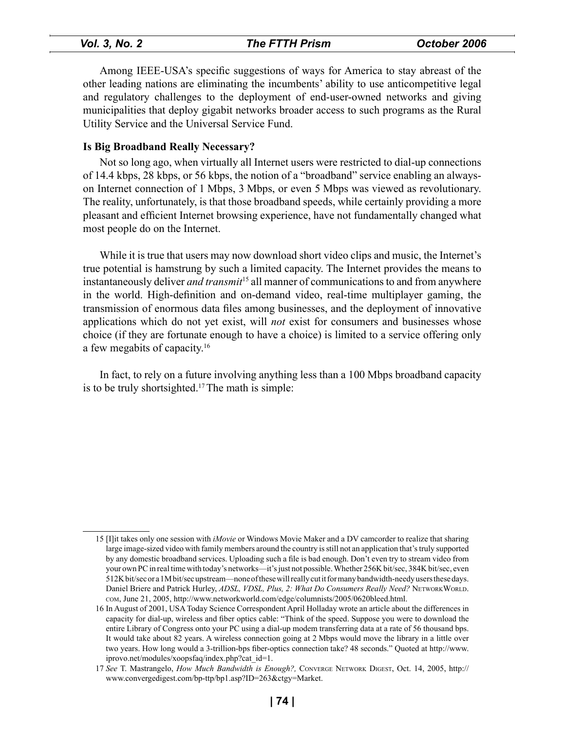# *Vol. 3, No. 2 The FTTH Prism October 2006*

Among IEEE-USA's specific suggestions of ways for America to stay abreast of the other leading nations are eliminating the incumbents' ability to use anticompetitive legal and regulatory challenges to the deployment of end-user-owned networks and giving municipalities that deploy gigabit networks broader access to such programs as the Rural Utility Service and the Universal Service Fund.

# **Is Big Broadband Really Necessary?**

Not so long ago, when virtually all Internet users were restricted to dial-up connections of 14.4 kbps, 28 kbps, or 56 kbps, the notion of a "broadband" service enabling an alwayson Internet connection of 1 Mbps, 3 Mbps, or even 5 Mbps was viewed as revolutionary. The reality, unfortunately, is that those broadband speeds, while certainly providing a more pleasant and efficient Internet browsing experience, have not fundamentally changed what most people do on the Internet.

While it is true that users may now download short video clips and music, the Internet's true potential is hamstrung by such a limited capacity. The Internet provides the means to instantaneously deliver *and transmit*<sup>15</sup> all manner of communications to and from anywhere in the world. High-definition and on-demand video, real-time multiplayer gaming, the transmission of enormous data files among businesses, and the deployment of innovative applications which do not yet exist, will *not* exist for consumers and businesses whose choice (if they are fortunate enough to have a choice) is limited to a service offering only a few megabits of capacity.16

In fact, to rely on a future involving anything less than a 100 Mbps broadband capacity is to be truly shortsighted.<sup>17</sup> The math is simple:

<sup>15 [</sup>I]it takes only one session with *iMovie* or Windows Movie Maker and a DV camcorder to realize that sharing [large image-sized video with family members around the country is still not an application that's truly supported](http://www.networkworld.com/edge/columnists/2005/0620bleed.html)  by any domestic broadband services. Uploading such a file is bad enough. Don't even try to stream video from your own PC in real time with today's networks—it's just not possible. Whether 256K bit/sec, 384K bit/sec, even 512K bit/sec or a 1M bit/sec upstream—none of these will really cut it for many bandwidth-needy users these days. Daniel Briere and Patrick Hurley, *ADSL, VDSL, Plus, 2: What Do Consumers Really Need?* NETWORKWORLD. com, June 21, 2005, http://www.networkworld.com/edge/columnists/2005/0620bleed.html.

[<sup>16</sup> In August of 2001, USA Today Science Correspondent April Holladay wrote an article about the differences in](http://www. iprovo.net/modules/xoopsfaq/index.php?cat_id=1)  capacity for dial-up, wireless and fiber optics cable: "Think of the speed. Suppose you were to download the entire Library of Congress onto your PC using a dial-up modem transferring data at a rate of 56 thousand bps. It would take about 82 years. A wireless connection going at 2 Mbps would move the library in a little over two years. How long would a 3-trillion-bps fiber-optics connection take? 48 seconds." Quoted at http://www. iprovo.net/modules/xoopsfaq/index.php?cat\_id=1.

<sup>17</sup> *See* T. Mastrangelo, *How Much Bandwidth is Enough?,* Converge Network Digest, Oct. 14, 2005, http:// [www.convergedigest.com/bp-ttp/bp1.asp?ID=263&ctgy=Marke](http:// www.convergedigest.com/bp-ttp/bp1.asp?ID=263&ctgy=Market)t.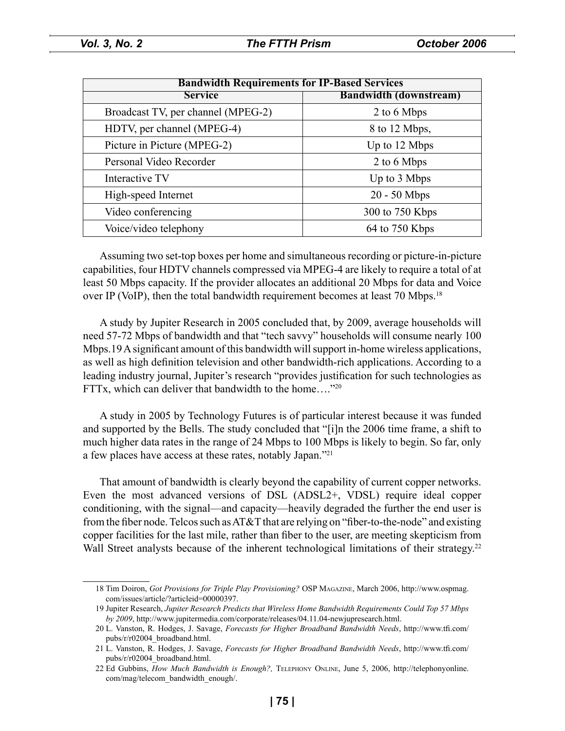| <b>Bandwidth Requirements for IP-Based Services</b> |                               |
|-----------------------------------------------------|-------------------------------|
| <b>Service</b>                                      | <b>Bandwidth (downstream)</b> |
| Broadcast TV, per channel (MPEG-2)                  | 2 to 6 Mbps                   |
| HDTV, per channel (MPEG-4)                          | 8 to 12 Mbps,                 |
| Picture in Picture (MPEG-2)                         | Up to 12 Mbps                 |
| Personal Video Recorder                             | 2 to 6 Mbps                   |
| Interactive TV                                      | Up to 3 Mbps                  |
| High-speed Internet                                 | $20 - 50$ Mbps                |
| Video conferencing                                  | 300 to 750 Kbps               |
| Voice/video telephony                               | 64 to 750 Kbps                |

Assuming two set-top boxes per home and simultaneous recording or picture-in-picture capabilities, four HDTV channels compressed via MPEG-4 are likely to require a total of at least 50 Mbps capacity. If the provider allocates an additional 20 Mbps for data and Voice over IP (VoIP), then the total bandwidth requirement becomes at least 70 Mbps.<sup>18</sup>

A study by Jupiter Research in 2005 concluded that, by 2009, average households will need 57-72 Mbps of bandwidth and that "tech savvy" households will consume nearly 100 Mbps.19 A significant amount of this bandwidth will support in-home wireless applications, as well as high definition television and other bandwidth-rich applications. According to a leading industry journal, Jupiter's research "provides justification for such technologies as FTTx, which can deliver that bandwidth to the home...."<sup>20</sup>

A study in 2005 by Technology Futures is of particular interest because it was funded and supported by the Bells. The study concluded that "[i]n the 2006 time frame, a shift to much higher data rates in the range of 24 Mbps to 100 Mbps is likely to begin. So far, only a few places have access at these rates, notably Japan."21

That amount of bandwidth is clearly beyond the capability of current copper networks. Even the most advanced versions of DSL (ADSL2+, VDSL) require ideal copper conditioning, with the signal—and capacity—heavily degraded the further the end user is from the fiber node. Telcos such as AT&T that are relying on "fiber-to-the-node" and existing copper facilities for the last mile, rather than fiber to the user, are meeting skepticism from Wall Street analysts because of the inherent technological limitations of their strategy.<sup>22</sup>

<sup>18</sup> Tim Doiron, *[Got Provisions for Triple Play Provisioning?](http://www.ospmag. com/issues/article/?articleid=00000397)* OSP Magazine, March 2006, http://www.ospmag. com/issues/article/?articleid=00000397.

<sup>19</sup> Jupiter Research, *[Jupiter Research Predicts that Wireless Home Bandwidth Requirements Could Top 57 Mbps](http://www.jupitermedia.com/corporate/releases/04.11.04-newjupresearch.html)  by 2009*, http://www.jupitermedia.com/corporate/releases/04.11.04-newjupresearch.html.

<sup>20</sup> L. Vanston, R. Hodges, J. Savage, *[Forecasts for Higher Broadband Bandwidth Needs](http://www.tfi.com/ pubs/r/r02004_broadband.html)*, http://www.tfi.com/ pubs/r/r02004\_broadband.html.

<sup>21</sup> L. Vanston, R. Hodges, J. Savage, *[Forecasts for Higher Broadband Bandwidth Needs](http://www.tfi.com/ pubs/r/r02004_broadband.html)*, http://www.tfi.com/ pubs/r/r02004\_broadband.html.

<sup>22</sup> Ed Gubbins, *How Much Bandwidth is Enough?,* Telephony Online, June 5, 2006, http://telephonyonline. [com/mag/telecom\\_bandwidth\\_enough/.](http://telephonyonline. com/mag/telecom_bandwidth_enough/)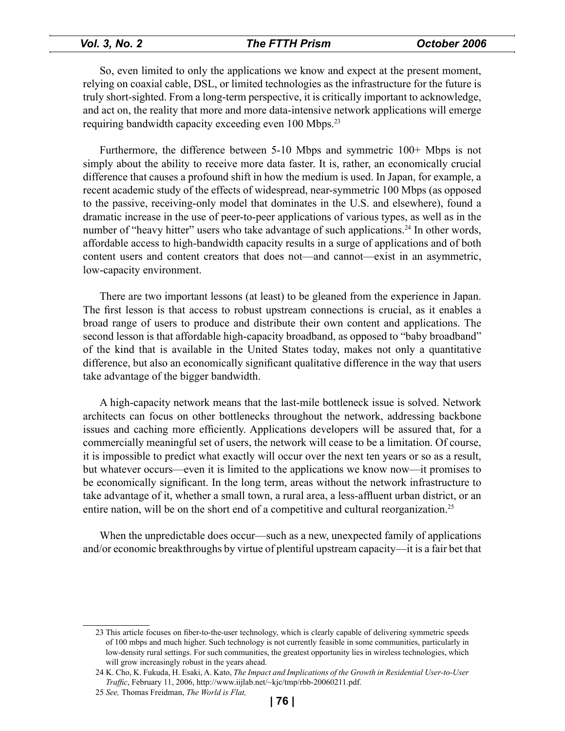# *Vol. 3, No. 2 The FTTH Prism October 2006*

So, even limited to only the applications we know and expect at the present moment, relying on coaxial cable, DSL, or limited technologies as the infrastructure for the future is truly short-sighted. From a long-term perspective, it is critically important to acknowledge, and act on, the reality that more and more data-intensive network applications will emerge requiring bandwidth capacity exceeding even 100 Mbps.23

Furthermore, the difference between 5-10 Mbps and symmetric 100+ Mbps is not simply about the ability to receive more data faster. It is, rather, an economically crucial difference that causes a profound shift in how the medium is used. In Japan, for example, a recent academic study of the effects of widespread, near-symmetric 100 Mbps (as opposed to the passive, receiving-only model that dominates in the U.S. and elsewhere), found a dramatic increase in the use of peer-to-peer applications of various types, as well as in the number of "heavy hitter" users who take advantage of such applications.<sup>24</sup> In other words, affordable access to high-bandwidth capacity results in a surge of applications and of both content users and content creators that does not—and cannot—exist in an asymmetric, low-capacity environment.

There are two important lessons (at least) to be gleaned from the experience in Japan. The first lesson is that access to robust upstream connections is crucial, as it enables a broad range of users to produce and distribute their own content and applications. The second lesson is that affordable high-capacity broadband, as opposed to "baby broadband" of the kind that is available in the United States today, makes not only a quantitative difference, but also an economically significant qualitative difference in the way that users take advantage of the bigger bandwidth.

A high-capacity network means that the last-mile bottleneck issue is solved. Network architects can focus on other bottlenecks throughout the network, addressing backbone issues and caching more efficiently. Applications developers will be assured that, for a commercially meaningful set of users, the network will cease to be a limitation. Of course, it is impossible to predict what exactly will occur over the next ten years or so as a result, but whatever occurs—even it is limited to the applications we know now—it promises to be economically significant. In the long term, areas without the network infrastructure to take advantage of it, whether a small town, a rural area, a less-affluent urban district, or an entire nation, will be on the short end of a competitive and cultural reorganization.<sup>25</sup>

When the unpredictable does occur—such as a new, unexpected family of applications and/or economic breakthroughs by virtue of plentiful upstream capacity—it is a fair bet that

<sup>23</sup> This article focuses on fiber-to-the-user technology, which is clearly capable of delivering symmetric speeds of 100 mbps and much higher. Such technology is not currently feasible in some communities, particularly in low-density rural settings. For such communities, the greatest opportunity lies in wireless technologies, which will grow increasingly robust in the years ahead.

<sup>24</sup> K. Cho, K. Fukuda, H. Esaki, A. Kato, *[The Impact and Implications of the Growth in Residential User-to-User](http://www.iijlab.net/~kjc/tmp/rbb-20060211.pdf)  Traffic*, February 11, 2006, http://www.iijlab.net/~kjc/tmp/rbb-20060211.pdf.

<sup>25</sup> *See,* Thomas Freidman, *The World is Flat,*